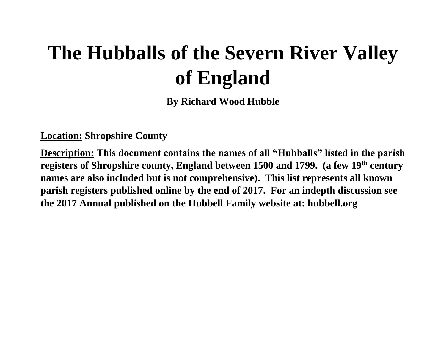# **The Hubballs of the Severn River Valley of England**

**By Richard Wood Hubble**

**Location: Shropshire County**

**Description: This document contains the names of all "Hubballs" listed in the parish registers of Shropshire county, England between 1500 and 1799. (a few 19th century names are also included but is not comprehensive). This list represents all known parish registers published online by the end of 2017. For an indepth discussion see the 2017 Annual published on the Hubbell Family website at: hubbell.org**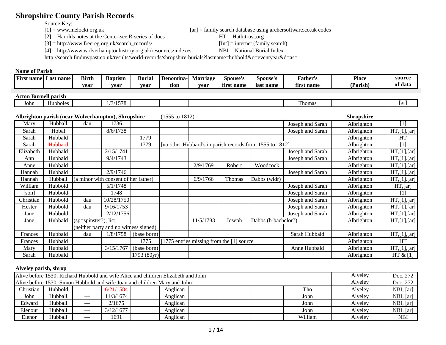# **Shropshire County Parish Records**

Source Key:<br> $[1]$  = www.melocki.org.uk

 $[2]$  = Harolds notes at the Center-see R-series of docs HT = Hathitrust.org

[3] = http://www.freereg.org.uk/search\_records/ [Int] = internet (family search)

[4] = http://www.wolverhamptonhistory.org.uk/resources/indexes NBI = National Burial Index

 $[ar]$  = family search database using archersoftware.co.uk codes

http://search.findmypast.co.uk/results/world-records/shropshire-burials?lastname=hubbold&o=eventyear&d=asc

#### **Name of Parish**

| <b>First name</b><br>Last name | <b>Birth</b> | <b>Baptism</b> | <b>Burial</b> | l Denomina | Marriage | Spouse's     | Spouse's  | ather'.    | Place    | source  |
|--------------------------------|--------------|----------------|---------------|------------|----------|--------------|-----------|------------|----------|---------|
|                                | vear         | vear           | vear          | tion       | vear     | namo<br>tırs | last name | first name | (Parish) | of data |

# **Acton Burnell parish**

| John | Hubboles | $\sqrt{2}$<br>ر .<br>$\cdots$ |  |  | l homas | <sub>l</sub> ar |
|------|----------|-------------------------------|--|--|---------|-----------------|
|      |          |                               |  |  |         |                 |

#### **Albrighton parish (near Wolverhampton), Shropshire** (1555 to 1812) **Shropshire**

|           |         | $\mathbf{r}$ , $\mathbf{r}$ , $\mathbf{r}$ , $\mathbf{r}$ , $\mathbf{r}$ , $\mathbf{r}$ , $\mathbf{r}$ , $\mathbf{r}$ , $\mathbf{r}$ , $\mathbf{r}$ , $\mathbf{r}$ , $\mathbf{r}$ , $\mathbf{r}$ , $\mathbf{r}$ , $\mathbf{r}$ , $\mathbf{r}$ , $\mathbf{r}$ , $\mathbf{r}$ , $\mathbf{r}$ , $\mathbf{r}$ , |                                       |             |                                             |        |                                                          |                  |            |                       |
|-----------|---------|-------------------------------------------------------------------------------------------------------------------------------------------------------------------------------------------------------------------------------------------------------------------------------------------------------------|---------------------------------------|-------------|---------------------------------------------|--------|----------------------------------------------------------|------------------|------------|-----------------------|
| Mary      | Hubball | dau                                                                                                                                                                                                                                                                                                         | 1736                                  |             |                                             |        |                                                          | Joseph and Sarah | Albrighton | $\left[1\right]$      |
| Sarah     | Hobal   |                                                                                                                                                                                                                                                                                                             | 8/6/1738                              |             |                                             |        |                                                          | Joseph and Sarah | Albrighton | $HT$ , $[1]$ , $[ar]$ |
| Sarah     | Hubbald |                                                                                                                                                                                                                                                                                                             |                                       | 1779        |                                             |        |                                                          |                  | Albrighton | HT                    |
| Sarah     | Hubbard |                                                                                                                                                                                                                                                                                                             |                                       | 1779        |                                             |        | [no other Hubbard's in parish records from 1555 to 1812] |                  | Albrighton | [1]                   |
| Elizabeth | Hubbald |                                                                                                                                                                                                                                                                                                             | 2/15/1741                             |             |                                             |        |                                                          | Joseph and Sarah | Albrighton | $HT$ , $[1]$ , $[ar]$ |
| Ann       | Hubbald |                                                                                                                                                                                                                                                                                                             | 9/4/1743                              |             |                                             |        |                                                          | Joseph and Sarah | Albrighton | $HT$ ,[1].[ar]        |
| Anne      | Hubbald |                                                                                                                                                                                                                                                                                                             |                                       |             | 2/9/1769                                    | Robert | Woodcock                                                 |                  | Albrighton | $HT$ , [1] . [ar]     |
| Hannah    | Hubbald |                                                                                                                                                                                                                                                                                                             | 2/9/1746                              |             |                                             |        |                                                          | Joseph and Sarah | Albrighton | $HT$ , [1]. [ar]      |
| Hannah    | Hubball |                                                                                                                                                                                                                                                                                                             | (a minor with consent of her father)  |             | 6/9/1766                                    | Thomas | Dabbs (widr)                                             |                  | Albrighton | $HT$ , [1] . [ar]     |
| William   | Hubbold |                                                                                                                                                                                                                                                                                                             | 5/1/1748                              |             |                                             |        |                                                          | Joseph and Sarah | Albrighton | $HT$ , [ar]           |
| son       | Hubbold |                                                                                                                                                                                                                                                                                                             | 1748                                  |             |                                             |        |                                                          | Joseph and Sarah | Albrighton | [1]                   |
| Christian | Hubbold | dau                                                                                                                                                                                                                                                                                                         | 10/28/1750                            |             |                                             |        |                                                          | Joseph and Sarah | Albrighton | $HT$ , [1], [ar]      |
| Hester    | Hubbold | dau                                                                                                                                                                                                                                                                                                         | 9/16/1753                             |             |                                             |        |                                                          | Joseph and Sarah | Albrighton | $HT$ , [1], [ar]      |
| Jane      | Hubbold |                                                                                                                                                                                                                                                                                                             | 12/12/1756                            |             |                                             |        |                                                          | Joseph and Sarah | Albrighton | $HT$ , [1], [ar]      |
| Jane      | Hubbald | $(sp=spinstein?)$ , lic:                                                                                                                                                                                                                                                                                    |                                       |             | 11/5/1783                                   | Joseph | Dabbs (b-bachelor?)                                      |                  | Albrighton | $HT$ , [1], [ar]      |
|           |         |                                                                                                                                                                                                                                                                                                             | (neither party and no witness signed) |             |                                             |        |                                                          |                  |            |                       |
| Frances   | Hubbald | dau                                                                                                                                                                                                                                                                                                         | 1/8/1758                              | (base born) |                                             |        |                                                          | Sarah Hubbald    | Albrighton | $HT$ , [1], [ar]      |
| Frances   | Hubbald |                                                                                                                                                                                                                                                                                                             |                                       | 1775        | [1775 entries missing from the $[1]$ source |        |                                                          |                  | Albrighton | <b>HT</b>             |
| Mary      | Hubbald |                                                                                                                                                                                                                                                                                                             | 3/15/1767                             | (base born) |                                             |        |                                                          | Anne Hubbald     | Albrighton | $HT$ , [1], [ar]      |
| Sarah     | Hubbald |                                                                                                                                                                                                                                                                                                             |                                       | 1793 (80yr) |                                             |        |                                                          |                  | Albrighton | HT $& [1]$            |

#### **Alveley parish, shrop**

|           |         |     |           | Alive before 1530: Richard Hubbold and wife Alice and children Elizabeth and John |  |  |         | Alveley | Doc. 272   |
|-----------|---------|-----|-----------|-----------------------------------------------------------------------------------|--|--|---------|---------|------------|
|           |         |     |           | Alive before 1530: Simon Hubbold and wife Joan and children Mary and John         |  |  |         | Alveley | Doc. 272   |
| Christian | Hubbold | Tho | Alveley   | NBI, [ar]                                                                         |  |  |         |         |            |
| John      | Hubball |     | 11/3/1674 | Anglican                                                                          |  |  | John    | Alveley | NBI, [ar]  |
| Edward    | Hubball |     | 2/1675    | Anglican                                                                          |  |  | John    | Alvelev | NBI, [ar]  |
| Elenour   | Hubball | __  | 3/12/1677 | Anglican                                                                          |  |  | John    | Alveley | NBI, [ar]  |
| Elenor    | Hubball |     | 1691      | Anglican                                                                          |  |  | William | Alveley | <b>NBI</b> |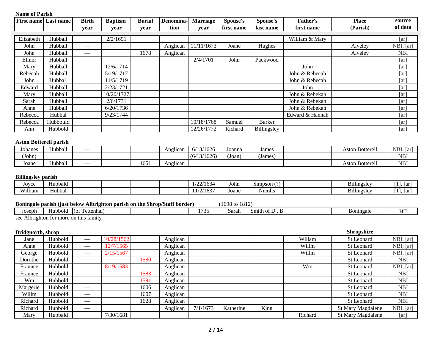| <b>First name</b>         | Last name                              | <b>Birth</b>                  | <b>Baptism</b>                                                            | <b>Burial</b> | Denomina- | <b>Marriage</b>    | Spouse's                  | Spouse's       | Father's        | <b>Place</b>           | source             |
|---------------------------|----------------------------------------|-------------------------------|---------------------------------------------------------------------------|---------------|-----------|--------------------|---------------------------|----------------|-----------------|------------------------|--------------------|
|                           |                                        | year                          | year                                                                      | year          | tion      | year               | first name                | last name      | first name      | (Parish)               | of data            |
| Elizabeth                 | Hubball                                |                               | 2/2/1691                                                                  |               |           |                    |                           |                | William & Mary  |                        | $\lceil ar \rceil$ |
| John                      | Hubball                                |                               |                                                                           |               | Anglican  | 11/11/1673         | Joane                     | Hughes         |                 | Alveley                | NBI, [ar]          |
| John                      | Hubball                                |                               |                                                                           | 1678          | Anglican  |                    |                           |                |                 | Alveley                | <b>NBI</b>         |
| Elinor                    | Hubball                                |                               |                                                                           |               |           | 2/4/1701           | John                      | Packwood       |                 |                        | [ar]               |
| Mary                      | Hubball                                |                               | 12/6/1714                                                                 |               |           |                    |                           |                | John            |                        | [ar]               |
| Rebecah                   | Hubball                                |                               | 5/19/1717                                                                 |               |           |                    |                           |                | John & Rebecah  |                        | [ar]               |
| John                      | Hubbal                                 |                               | 11/5/1719                                                                 |               |           |                    |                           |                | John & Rebecah  |                        | $\lceil ar \rceil$ |
| Edward                    | Hubball                                |                               | 2/23/1721                                                                 |               |           |                    |                           |                | John            |                        | $\lceil ar \rceil$ |
| Mary                      | Hubball                                |                               | 10/20/1727                                                                |               |           |                    |                           |                | John & Rebekah  |                        | [ar]               |
| Sarah                     | Hubball                                |                               | 2/6/1731                                                                  |               |           |                    |                           |                | John & Rebekah  |                        | $\lceil ar \rceil$ |
| Anne                      | Hubball                                |                               | 6/20/1736                                                                 |               |           |                    |                           |                | John & Rebekah  |                        | [ar]               |
| Rebecca                   | Hubbal                                 |                               | 9/23/1744                                                                 |               |           |                    |                           |                | Edward & Hannah |                        | $\lceil ar \rceil$ |
| Rebecca                   | Hubbould                               |                               |                                                                           |               |           | 10/18/1768         | Samuel                    | <b>Barker</b>  |                 |                        | [ar]               |
| Ann                       | Hubbold                                |                               |                                                                           |               |           | 12/26/1772         | Richard                   | Billingsley    |                 |                        | [ar]               |
| Johanes                   | Hubball                                |                               |                                                                           |               | Anglican  | $\sqrt{6}/13/1626$ | Joanna                    | James          |                 | <b>Aston Botterell</b> | NBI, [ar]          |
| (John)                    |                                        |                               |                                                                           |               |           | (6/13/1626)        | (Joan)                    | (James)        |                 |                        | <b>NBI</b>         |
| Joane                     | Hubball                                |                               |                                                                           | 1651          | Anglican  |                    |                           |                |                 | <b>Aston Botterell</b> | <b>NBI</b>         |
| <b>Billingsley parish</b> |                                        |                               |                                                                           |               |           |                    |                           |                |                 |                        |                    |
| Joyce                     | Hubbald                                |                               |                                                                           |               |           | 1/22/1634          | John                      | Simpson (?)    |                 | Billingsley            | $[1]$ , $[ar]$     |
| William                   | Hubbal                                 |                               |                                                                           |               |           | 11/2/1637          | Joane                     | <b>Nicolls</b> |                 | Billingsley            | $[1]$ , $[ar]$     |
|                           |                                        |                               | Boningale parish (just below Albrighton parish on the Shrop/Staff border) |               |           |                    | $(1698 \text{ to } 1812)$ |                |                 |                        |                    |
| Joseph                    | Hubbold (of Tettenhal)                 |                               |                                                                           |               |           | 1735               | Sarah                     | Smith of D., B |                 | Boningale              | HT                 |
|                           | see Albrighton for more on this family |                               |                                                                           |               |           |                    |                           |                |                 |                        |                    |
|                           |                                        |                               |                                                                           |               |           |                    |                           |                |                 |                        |                    |
| Bridgnorth, shrop         |                                        |                               |                                                                           |               |           |                    |                           |                |                 | <b>Shropshire</b>      |                    |
| Jane                      | Hubbold                                |                               | 10/28/1562                                                                |               | Anglican  |                    |                           |                | Willam          | St Leonard             | NBI, [ar]          |
| Anne                      | Hubbold                                | $\overbrace{\phantom{13333}}$ | 12/7/1565                                                                 |               | Anglican  |                    |                           |                | Willm           | St Leonard             | NBI, [ar]          |
| George                    | Hubbold                                |                               | 2/15/1567                                                                 |               | Anglican  |                    |                           |                | Willm           | St Leonard             | NBI, [ar]          |
| Dorothe                   | Hubbold                                |                               |                                                                           | 1580          | Anglican  |                    |                           |                |                 | St Leonard             | <b>NBI</b>         |
| Fraunce                   | Hubbold                                |                               | 8/19/1583                                                                 |               | Anglican  |                    |                           |                | Wm              | St Leonard             | NBI, [ar]          |
| Fraunce                   | Hubbold                                | $\overline{\phantom{0}}$      |                                                                           | 1583          | Anglican  |                    |                           |                |                 | St Leonard             | <b>NBI</b>         |

Wm Hubbold — 1591 Anglican I i st Leonard NBI Margerie Hubbold — 1606 Anglican I — 1606 Anglican St Leonard NBI Willm Hubbold — 1607 Anglican St Leonard NBI Richard Hubbold — 1628 Anglican NBI (St Leonard NBI Richard Hubbold — <br>
Mary Hubbald 7/30/1681 Anglican 7/1/1673 Katherine King St Mary Magdalene NBI, [ar] Mary Hubbald 7/30/1681 7/30/1681 Richard St Mary Magdalene [ar]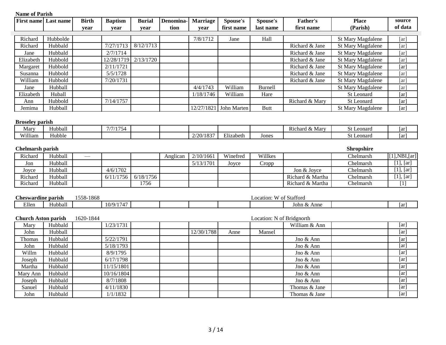| <b>Name of Parish</b>      |                             |              |                         |               |           |                        |             |                           |                  |                          |                    |
|----------------------------|-----------------------------|--------------|-------------------------|---------------|-----------|------------------------|-------------|---------------------------|------------------|--------------------------|--------------------|
|                            | <b>First name</b> Last name | <b>Birth</b> | <b>Baptism</b>          | <b>Burial</b> | Denomina- | <b>Marriage</b>        | Spouse's    | Spouse's                  | Father's         | <b>Place</b>             | source             |
|                            |                             | vear         | year                    | vear          | tion      | vear                   | first name  | last name                 | first name       | (Parish)                 | of data            |
| Richard                    | Hubbolde                    |              |                         |               |           | 7/8/1712               | Jane        | Hall                      |                  | St Mary Magdalene        | [ar]               |
| Richard                    | Hubbald                     |              | 7/27/1713               | 8/12/1713     |           |                        |             |                           | Richard & Jane   | <b>St Mary Magdalene</b> | [ar]               |
| Jane                       | Hubbald                     |              | 2/7/1714                |               |           |                        |             |                           | Richard & Jane   | St Mary Magdalene        | [ar]               |
| Elizabeth                  | Hubbold                     |              | 12/28/1719              | 2/13/1720     |           |                        |             |                           | Richard & Jane   | St Mary Magdalene        | [ar]               |
| Margaret                   | Hubbold                     |              | 2/11/1721               |               |           |                        |             |                           | Richard & Jane   | <b>St Mary Magdalene</b> | [ar]               |
| Susanna                    | Hubbold                     |              | 5/5/1728                |               |           |                        |             |                           | Richard & Jane   | St Mary Magdalene        | [ar]               |
| William                    | Hubbold                     |              | 7/20/1731               |               |           |                        |             |                           | Richard & Jane   | St Mary Magdalene        | [ar]               |
| Jane                       | Hubball                     |              |                         |               |           | 4/4/1743               | William     | Burnell                   |                  | St Mary Magdalene        | [ar]               |
| Elizabeth                  | Huball                      |              |                         |               |           | 1/18/1746              | William     | Hare                      |                  | St Leonard               | [ar]               |
| Ann                        | Hubbold                     |              | 7/14/1757               |               |           |                        |             |                           | Richard & Mary   | St Leonard               | [ar]               |
| Jemima                     | Hubball                     |              |                         |               |           | 12/27/1821             | John Marten | <b>Butt</b>               |                  | St Mary Magdalene        | [ar]               |
| <b>Broseley parish</b>     |                             |              |                         |               |           |                        |             |                           |                  |                          |                    |
| Mary                       | Hubball                     |              | 7/7/1754                |               |           |                        |             |                           | Richard & Mary   | St Leonard               | [ar]               |
| William                    | Hubble                      |              |                         |               |           | 2/20/1837              | Elizabeth   | Jones                     |                  | St Leonard               | [ar]               |
| <b>Chelmarsh parish</b>    |                             |              |                         |               |           |                        |             |                           |                  | <b>Shropshire</b>        | [1], NBI, [ar]     |
| Richard                    | Hubball<br>Hubball          |              |                         |               | Anglican  | 2/10/1661<br>5/13/1701 | Winefred    | Willkes                   |                  | Chelmarsh<br>Chelmarsh   | [1], [ar]          |
| Jon                        | Hubball                     |              | 4/6/1702                |               |           |                        | Joyce       | Cropp                     | Jon & Joyce      | Chelmarsh                | $[1]$ , $[ar]$     |
| Joyce<br>Richard           | Hubball                     |              | 6/11/1756               | 6/18/1756     |           |                        |             |                           | Richard & Martha | Chelmarsh                | $[1]$ , $[ar]$     |
| Richard                    | Hubball                     |              |                         | 1756          |           |                        |             |                           | Richard & Martha | Chelmarsh                | [1]                |
|                            |                             |              |                         |               |           |                        |             |                           |                  |                          |                    |
| <b>Cheswardine parish</b>  |                             | 1558-1868    |                         |               |           |                        |             | Location: W of Stafford   |                  |                          |                    |
| Ellen                      | Hubball                     |              | 10/9/1747               |               |           |                        |             |                           | John & Anne      |                          | [ar]               |
| <b>Church Aston parish</b> | Hubbald                     | 1620-1844    | 1/23/1731               |               |           |                        |             | Location: N of Bridgnorth | William & Ann    |                          | [ar]               |
| Mary<br>John               | Hubball                     |              |                         |               |           | 12/30/1788             |             | Mansel                    |                  |                          | $\lceil ar \rceil$ |
|                            |                             |              |                         |               |           |                        | Anne        |                           |                  |                          |                    |
| Thomas                     | Hubbald<br>Hubbald          |              | 5/22/1791<br>5/18/1793  |               |           |                        |             |                           | Jno & Ann        |                          | $\lceil ar \rceil$ |
| John                       |                             |              |                         |               |           |                        |             |                           | Jno & Ann        |                          | [ar]<br>[ar]       |
| Willm                      | Hubbald                     |              | 8/9/1795                |               |           |                        |             |                           | Jno & Ann        |                          | [ar]               |
| Joseph                     | Hubbald<br>Hubbald          |              | 6/17/1798<br>11/15/1801 |               |           |                        |             |                           | Jno & Ann        |                          |                    |
| Martha                     |                             |              |                         |               |           |                        |             |                           | Jno & Ann        |                          | [ar]               |
| Mary Ann                   | Hubbald                     |              | 10/16/1804              |               |           |                        |             |                           | Jno & Ann        |                          | [ar]               |
| Joseph                     | Hubbald                     |              | 8/7/1808                |               |           |                        |             |                           | Jno & Ann        |                          | [ar]               |
| Sanuel                     | Hubbald                     |              | 4/11/1830               |               |           |                        |             |                           | Thomas & Jane    |                          | [ar]               |
| John                       | Hubbald                     |              | 1/1/1832                |               |           |                        |             |                           | Thomas & Jane    |                          | [ar]               |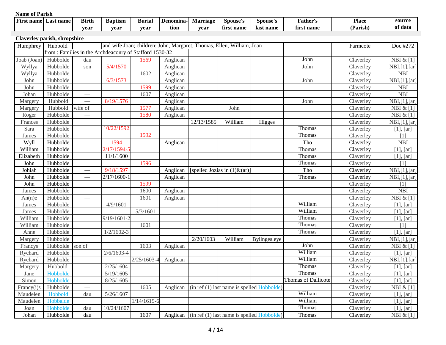| <b>Name of Parish</b> |                              |                                 |                                                        |               |           |                 |                                                                       |                                                                             |                            |              |                                           |
|-----------------------|------------------------------|---------------------------------|--------------------------------------------------------|---------------|-----------|-----------------|-----------------------------------------------------------------------|-----------------------------------------------------------------------------|----------------------------|--------------|-------------------------------------------|
| <b>First name</b>     | Last name                    | <b>Birth</b>                    | <b>Baptism</b>                                         | <b>Burial</b> | Denomina- | <b>Marriage</b> | Spouse's                                                              | <b>Spouse's</b>                                                             | <b>Father's</b>            | <b>Place</b> | source                                    |
|                       |                              | year                            | year                                                   | year          | tion      | year            | first name                                                            | last name                                                                   | first name                 | (Parish)     | of data                                   |
|                       | Claverley parish, shropshire |                                 |                                                        |               |           |                 |                                                                       |                                                                             |                            |              |                                           |
| Humphrey              | Hubbold                      |                                 |                                                        |               |           |                 | and wife Joan; children: John, Margaret, Thomas, Ellen, William, Joan |                                                                             |                            | Farmcote     | Doc #272                                  |
|                       |                              |                                 | from: Families in the Archdeaconry of Stafford 1530-32 |               |           |                 |                                                                       |                                                                             |                            |              |                                           |
| Joab (Joan)           | Hubbolde                     | dau                             |                                                        | 1569          | Anglican  |                 |                                                                       |                                                                             | John                       | Claverley    | NBI & $[1]$                               |
| Wyllya                | Hubbolde                     | son                             | 5/4/1570                                               |               | Anglican  |                 |                                                                       |                                                                             | John                       | Claverley    | NBI, [1], [ar]                            |
| Wyllya                | Hubbolde                     |                                 |                                                        | 1602          | Anglican  |                 |                                                                       |                                                                             |                            | Claverley    | <b>NBI</b>                                |
| John                  | Hubbolde                     |                                 | 6/3/1573                                               |               | Anglican  |                 |                                                                       |                                                                             | John                       | Claverley    | NBI,[1],[ar]                              |
| John                  | Hubbolde                     |                                 |                                                        | 1599          | Anglican  |                 |                                                                       |                                                                             |                            | Claverley    | <b>NBI</b>                                |
| Johan                 | Hubbolde                     | $\overbrace{\qquad \qquad }^{}$ |                                                        | 1607          | Anglican  |                 |                                                                       |                                                                             |                            | Claverley    | <b>NBI</b>                                |
| Margery               | Hubbold                      | $\overline{\phantom{a}}$        | 8/19/1576                                              |               | Anglican  |                 |                                                                       |                                                                             | John                       | Claverley    | NBI, [1], [ar]                            |
| Margery               | Hubbold                      | wife of                         |                                                        | 1577          | Anglican  |                 | John                                                                  |                                                                             |                            | Claverley    | NBI $\&$ [1]                              |
| Roger                 | Hubbolde                     |                                 |                                                        | 1580          | Anglican  |                 |                                                                       |                                                                             |                            | Claverley    | $\overline{\text{NBI}}$ & [1]             |
| Frances               | Hubbolde                     |                                 |                                                        |               |           | 12/13/1585      | William                                                               | Higges                                                                      |                            | Claverley    | $\overline{\text{NBI}, [1],[ar]}$         |
| Sara                  | Hubbolde                     |                                 | 10/22/1592                                             |               |           |                 |                                                                       |                                                                             | Thomas                     | Claverley    | $[1]$ , $[ar]$                            |
| James                 | Hubbolde                     |                                 |                                                        | 1592          |           |                 |                                                                       |                                                                             | Thomas                     | Claverley    | [1]                                       |
| <b>Wyll</b>           | Hubbolde                     |                                 | 1594                                                   |               | Anglican  |                 |                                                                       |                                                                             | Tho                        | Claverley    | <b>NBI</b>                                |
| William               | Hubbolde                     |                                 | $2/17/1594 -$                                          |               |           |                 |                                                                       |                                                                             | Thomas                     | Claverley    | $[1]$ , $[ar]$                            |
| Elizabeth             | Hubbolde                     |                                 | 11/1/1600                                              |               |           |                 |                                                                       |                                                                             | Thomas                     | Claverley    | $[1]$ , $[ar]$                            |
| John                  | Hubbolde                     |                                 |                                                        | 1596          |           |                 |                                                                       |                                                                             | Thomas                     | Claverley    | [1]                                       |
| Johiah                | Hubbolde                     |                                 | 9/18/1597                                              |               | Anglican  |                 | [spelled Jozias in $(1)$ &(ar)]                                       |                                                                             | Tho                        | Claverley    | NBI,[1],[ar]                              |
| John                  | Hubbolde                     |                                 | $\sqrt{2}/17/1600$ -                                   |               | Anglican  |                 |                                                                       |                                                                             | Thomas                     | Claverley    | $\overline{\text{NBI}}, [1], [\text{ar}]$ |
| John                  | Hubbolde                     |                                 |                                                        | 1599          |           |                 |                                                                       |                                                                             |                            | Claverley    | [1]                                       |
| James                 | Hubbolde                     |                                 |                                                        | 1600          | Anglican  |                 |                                                                       |                                                                             |                            | Claverley    | <b>NBI</b>                                |
| An(n)e                | Hubbolde                     |                                 |                                                        | 1601          | Anglican  |                 |                                                                       |                                                                             |                            | Claverley    | NBI & [1]                                 |
| James                 | Hubbolde                     |                                 | 4/9/1601                                               |               |           |                 |                                                                       |                                                                             | William                    | Claverley    | $[1]$ , $[ar]$                            |
| James                 | Hubbolde                     |                                 |                                                        | 5/3/1601      |           |                 |                                                                       |                                                                             | William                    | Claverley    | $[1]$ , $[ar]$                            |
| William               | Hubbolde                     |                                 | $9/19/1601 - 2$                                        |               |           |                 |                                                                       |                                                                             | Thomas                     | Claverley    | $[1]$ , $[ar]$                            |
| William               | Hubbolde                     |                                 |                                                        | 1601          |           |                 |                                                                       |                                                                             | Thomas                     | Claverley    | [1]                                       |
| Anne                  | Hubbolde                     |                                 | $1/2/1602-3$                                           |               |           |                 |                                                                       |                                                                             | Thomas                     | Claverley    | $[1]$ , $[ar]$                            |
| Margery               | Hubbolde                     |                                 |                                                        |               |           | 2/20/1603       | William                                                               | Byllngesleye                                                                |                            | Claverley    | $\overline{\text{NBI}, [1], [\text{ar}]}$ |
| Francys               | Hubbolde                     | son of                          |                                                        | 1603          | Anglican  |                 |                                                                       |                                                                             | John                       | Claverley    | NBI $\&$ [1]                              |
| Rychard               | Hubbolde                     |                                 | $2/6/1603 - 4$                                         |               |           |                 |                                                                       |                                                                             | William                    | Claverley    | $[1]$ , $[ar]$                            |
| Rychard               | Hubbolde                     | $\overline{\phantom{m}}$        |                                                        | $2/25/1603-4$ | Anglican  |                 |                                                                       |                                                                             | William                    | Claverley    | NBI, [1], [ar]                            |
| Margery               | Hubbold                      |                                 | 2/25/1604                                              |               |           |                 |                                                                       |                                                                             | <b>Thomas</b>              | Claverley    | $[1]$ , $[ar]$                            |
| Jane                  | Hobbolde                     |                                 | 5/19/1605                                              |               |           |                 |                                                                       |                                                                             | Thomas                     | Claverley    | $[1]$ , $[ar]$                            |
| Simon                 | Hobbolde                     |                                 | 8/25/1605                                              |               |           |                 |                                                                       |                                                                             | <b>Thomas of Dallicote</b> | Claverley    | [1], [ar]                                 |
| Francy(i)s            | Hubbolde                     | $\overline{\phantom{0}}$        |                                                        | 1605          | Anglican  |                 |                                                                       | $(in ref (1) last name is spelled Hobbold)$                                 |                            | Claverley    | NBI $& [1]$                               |
| Maudelen              | Hobbold                      | dau                             | 5/26/1607                                              |               |           |                 |                                                                       |                                                                             | William                    | Claverley    | $[1]$ , $[ar]$                            |
| Maudelen              | Hobbalde                     |                                 |                                                        | $1/14/1615-6$ |           |                 |                                                                       |                                                                             | William                    | Claverley    | $[1]$ , $[ar]$                            |
| Joan                  | Hobbolde                     | dau                             | 10/24/1607                                             |               |           |                 |                                                                       |                                                                             | Thomas                     | Claverley    | [1], [ar]                                 |
| Johan                 | Hubbolde                     | dau                             |                                                        | 1607          |           |                 |                                                                       | Anglican $\left  \text{(in ref (1) last name is spelled Hobbolde)} \right $ | Thomas                     | Claverley    | NBI $\&$ [1]                              |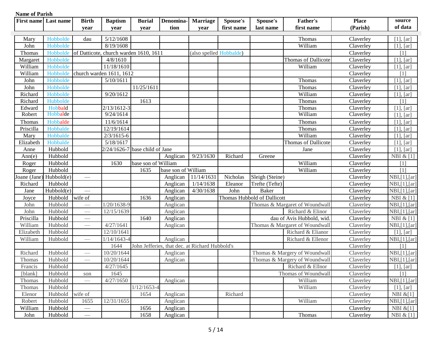| <b>First name</b> | Last name  | <b>Birth</b><br>year     | <b>Baptism</b><br>year                 | <b>Burial</b><br>vear              | Denomina-<br>tion                              | <b>Marriage</b><br>year | <b>Spouse's</b><br>first name | Spouse's<br>last name       | <b>Father's</b><br>first name  | <b>Place</b><br>(Parish) | source<br>of data |
|-------------------|------------|--------------------------|----------------------------------------|------------------------------------|------------------------------------------------|-------------------------|-------------------------------|-----------------------------|--------------------------------|--------------------------|-------------------|
| Mary              | Hobbolde   | dau                      | 5/12/1608                              |                                    |                                                |                         |                               |                             | Thomas                         | Claverley                | $[1]$ , $[ar]$    |
| John              | Hobbolde   |                          | 8/19/1608                              |                                    |                                                |                         |                               |                             | William                        | Claverley                | $[1]$ , $[ar]$    |
| Thomas            | Hobbolde   |                          | of Datticote, church warden 1610, 1611 |                                    |                                                | (also spelled Hobbalde) |                               |                             |                                | Claverley                | [1]               |
| Margaret          | Hobbolde   |                          | 4/8/1610                               |                                    |                                                |                         |                               |                             | Thomas of Dallicote            | Claverley                | $[1]$ , $[ar]$    |
| William           | Hobbolde   |                          | 11/18/1610                             |                                    |                                                |                         |                               |                             | William                        | Claverley                | [1], [ar]         |
| William           | Hobbolde   |                          | church warden 1611, 1612               |                                    |                                                |                         |                               |                             |                                | Claverley                | [1]               |
| John              | Hobbolde   |                          | 5/10/1611                              |                                    |                                                |                         |                               |                             | Thomas                         | Claverley                | $[1]$ , $[ar]$    |
| John              | Hobbolde   |                          |                                        | 11/25/1611                         |                                                |                         |                               |                             | Thomas                         | Claverley                | $[1]$ , $[ar]$    |
| Richard           | Hobbolde   |                          | 9/20/1612                              |                                    |                                                |                         |                               |                             | William                        | Claverley                | [1], [ar]         |
| Richard           | Hubbolde   |                          |                                        | 1613                               |                                                |                         |                               |                             | Thomas                         | Claverley                | [1]               |
| Edward            | Hobbald    |                          | $2/13/1612-3$                          |                                    |                                                |                         |                               |                             | Thomas                         | Claverley                | [1], [ar]         |
| Robert            | Hobbalde   |                          | 9/24/1614                              |                                    |                                                |                         |                               |                             | William                        | Claverley                | [1], [ar]         |
| Thomas            | Hobbalde   |                          | 11/6/1614                              |                                    |                                                |                         |                               |                             | Thomas                         | Claverley                | [1], [ar]         |
| Priscilla         | Hobbalde   |                          | 12/19/1614                             |                                    |                                                |                         |                               |                             | Thomas                         | Claverley                | [1], [ar]         |
| Mary              | Hobbalde   |                          | $2/3/1615-6$                           |                                    |                                                |                         |                               |                             | William                        | Claverley                | $[1]$ , $[ar]$    |
| Elizabeth         | Hobbalde   |                          | 5/18/1617                              |                                    |                                                |                         |                               |                             | Thomas of Dallicote            | Claverley                | $[1]$ , $[ar]$    |
| Anne              | Hubbold    |                          |                                        | $2/24/1626 - 7$ base child of Jane |                                                |                         |                               |                             | Jane                           | Claverley                | $[1]$ , $[ar]$    |
| Ann(e)            | Hubbold    |                          |                                        |                                    | Anglican                                       | 9/23/1630               | Richard                       | Greene                      |                                | Claverley                | NBI $& 1]$        |
| Roger             | Hubbold    |                          | 1630                                   | base son of William                |                                                |                         |                               |                             | William                        | Claverley                | [1]               |
| Roger             | Hubbold    |                          |                                        | 1635                               | base son of William                            |                         |                               |                             | William                        | Claverley                | [1]               |
| Joane (Jane)      | Hubbold(e) |                          |                                        |                                    | Anglican                                       | 11/14/1631              | Nicholas                      | Sleigh (Steine)             |                                | Claverley                | NBI, [1], [ar]    |
| Richard           | Hubbold    |                          |                                        |                                    | Anglican                                       | 1/14/1638               | Eleanor                       | Trefte (Tefte)              |                                | Claverley                | NBI,[1],[ar]      |
| Jane              | Hubbold(e) |                          |                                        |                                    | Anglican                                       | 4/30/1638               | John                          | <b>Baker</b>                |                                | Claverley                | NBI,[1],[ar]      |
| Joyce             | Hubbold    | wife of                  |                                        | 1636                               | Anglican                                       |                         |                               | Thomas Hubbold of Dallicott |                                | Claverley                | NBI $& 1]$        |
| John              | Hubbold    |                          | 1/20/1638-9                            |                                    | Anglican                                       |                         |                               |                             | Thomas & Margaret of Woundwall | Claverley                | NBI, [1], [ar]    |
| John              | Hubbold    |                          | 12/15/1639                             |                                    | Anglican                                       |                         |                               |                             | Richard & Elinor               | Claverley                | NBI,[1],[ar]      |
| Priscilla         | Hubbold    |                          |                                        | 1640                               | Anglican                                       |                         |                               |                             | dau of Avis Hubbold, wid       | Claverley                | NBI $\&$ [1]      |
| William           | Hubbold    | $\hspace{0.05cm}$        | 4/27/1641                              |                                    | Anglican                                       |                         |                               |                             | Thomas & Margaret of Woundwall | Claverley                | NBI,[1],[ar]      |
| Elizabeth         | Hubbold    |                          | 12/10/1641                             |                                    |                                                |                         |                               |                             | Richard & Elianor              | Claverley                | $[1]$ , $[ar]$    |
| William           | Hubbold    | $\overline{\phantom{0}}$ | $1/14/1643 - 4$                        |                                    | Anglican                                       |                         |                               |                             | Richard & Ellenor              | Claverley                | NBI,[1],[ar]      |
|                   |            |                          | 1644                                   |                                    | John Jefferies, that dec. at Richard Hubbold's |                         |                               |                             |                                | Claverley                | [1]               |
| Richard           | Hubbold    |                          | 10/20/1644                             |                                    | Anglican                                       |                         |                               |                             | Thomas & Margery of Woundwall  | Claverley                | NBI, [1], [ar]    |
| <b>Thomas</b>     | Hubbold    |                          | 10/20/1644                             |                                    | Anglican                                       |                         |                               |                             | Thomas & Margery of Woundwall  | Claverley                | NBI, [1], [ar]    |
| Francis           | Hubbold    |                          | 4/27/1645                              |                                    |                                                |                         |                               |                             | Richard & Ellnor               | Claverley                | [1], [ar]         |
| [blank]           | Hubbold    | son                      | 1645                                   |                                    |                                                |                         |                               |                             | Thomas of Woundwall            | Claverley                | [1]               |
| Thomas            | Hubbold    | $\overline{\phantom{a}}$ | 4/27/1650                              |                                    | Anglican                                       |                         |                               |                             | William                        | Claverley                | NBI,[1],[ar]      |
| Thomas            | Hubbold    |                          |                                        | $1/12/1653 - 4$                    |                                                |                         |                               |                             | William                        | Claverley                | $[1]$ , $[ar]$    |
| Elenor            | Hubbold    | wife of                  |                                        | 1654                               | Anglican                                       |                         | Richard                       |                             |                                | Claverley                | NBI $&[1]$        |
| Robert            | Hubbold    | 1655                     | 12/31/1655                             |                                    | Anglican                                       |                         |                               |                             | William                        | Claverley                | NBI, [1], [ar]    |
| William           | Hubbold    | $\hspace{0.05cm}$        |                                        | 1656                               | Anglican                                       |                         |                               |                             |                                | Claverley                | NBI $&[1]$        |
| John              | Hubbold    |                          |                                        | 1658                               | Anglican                                       |                         |                               |                             | Thomas                         | Claverley                | NBI $\&$ [1]      |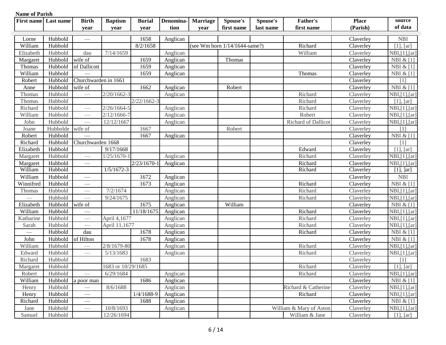| <b>First name</b>        | Last name | <b>Birth</b>                    | <b>Baptism</b>     | <b>Burial</b>   | Denomina- | <b>Marriage</b> | <b>Spouse's</b>                  | Spouse's  | Father's                | <b>Place</b> | source         |
|--------------------------|-----------|---------------------------------|--------------------|-----------------|-----------|-----------------|----------------------------------|-----------|-------------------------|--------------|----------------|
|                          |           | year                            | year               | year            | tion      | year            | first name                       | last name | first name              | (Parish)     | of data        |
| Lorne                    | Hubbold   |                                 |                    | 1658            | Anglican  |                 |                                  |           |                         | Claverley    | <b>NBI</b>     |
| William                  | Hubbold   |                                 |                    | 8/2/1658        |           |                 | (see Wm born $1/14/1644$ -same?) |           | Richard                 | Claverley    | $[1]$ , $[ar]$ |
| Elizabeth                | Hubbold   | dau                             | 7/14/1659          |                 | Anglican  |                 |                                  |           | William                 | Claverley    | NBI, [1], [ar] |
| Margaret                 | Hubbold   | wife of                         |                    | 1659            | Anglican  |                 | Thomas                           |           |                         | Claverley    | NBI $\&$ [1]   |
| Thomas                   | Hubbold   | of Dallicott                    |                    | 1659            | Anglican  |                 |                                  |           |                         | Claverley    | NBI $& [1]$    |
| William                  | Hubbold   |                                 |                    | 1659            | Anglican  |                 |                                  |           | Thomas                  | Claverley    | NBI & [1]      |
| Robert                   | Hubbold   | Churchwarden in 1661            |                    |                 |           |                 |                                  |           |                         | Claverley    | [1]            |
| Anne                     | Hubbold   | wife of                         |                    | 1662            | Anglican  |                 | Robert                           |           |                         | Claverley    | NBI & [1]      |
| Thomas                   | Hubbold   |                                 | $2/20/1662 - 3$    |                 | Anglican  |                 |                                  |           | Richard                 | Claverley    | NBI,[1],[ar]   |
| Thomas                   | Hubbold   |                                 |                    | $2/22/1662 - 3$ |           |                 |                                  |           | Richard                 | Claverley    | $[1]$ , $[ar]$ |
| Richard                  | Hubbold   |                                 | $2/26/1664 - 5$    |                 | Anglican  |                 |                                  |           | Richard                 | Claverley    | NBI,[1],[ar]   |
| William                  | Hubbold   |                                 | $2/12/1666 - 7$    |                 | Anglican  |                 |                                  |           | Robert                  | Claverley    | NBI,[1],[ar]   |
| John                     | Hubbold   |                                 | 12/12/1667         |                 | Anglican  |                 |                                  |           | Richard of Dallicot     | Claverley    | NBI,[1],[ar]   |
| Joane                    | Hubbolde  | wife of                         |                    | 1667            |           |                 | Robert                           |           |                         | Claverley    | [1]            |
| Robert                   | Hubbold   |                                 |                    | 1667            | Anglican  |                 |                                  |           |                         | Claverley    | NBI $\&$ [1]   |
| Richard                  | Hubbold   | Churchwarden 1668               |                    |                 |           |                 |                                  |           |                         | Claverley    | [1]            |
| Elizabeth                | Hubbold   |                                 | 9/17/1668          |                 |           |                 |                                  |           | Edward                  | Claverley    | [1], [ar]      |
| Margaret                 | Hubbold   |                                 | $1/25/1670 - 1$    |                 | Anglican  |                 |                                  |           | Richard                 | Claverley    | NBI, [1], [ar] |
| Margaret                 | Hubbold   |                                 |                    | $2/23/1670-$    | Anglican  |                 |                                  |           | Richard                 | Claverley    | NBI, [1], [ar] |
| William                  | Hubbold   |                                 | $1/5/1672-3$       |                 |           |                 |                                  |           | Richard                 | Claverley    | $[1],$ $]$ ar] |
| William                  | Hubbold   |                                 |                    | 1672            | Anglican  |                 |                                  |           |                         | Claverley    | <b>NBI</b>     |
| Winnifred                | Hubbold   |                                 |                    | 1673            | Anglican  |                 |                                  |           | Richard                 | Claverley    | NBI & [1]      |
| Thomas                   | Hubbold   |                                 | 7/2/1674           |                 | Anglican  |                 |                                  |           | Richard                 | Claverley    | NBI,[1],[ar]   |
|                          | Hubbold   |                                 | 9/24/1675          |                 | Anglican  |                 |                                  |           | Richard                 | Claverley    | NBI,[1],[ar]   |
| Elizabeth                | Hubbold   | wife of                         |                    | 1675            | Anglican  |                 | William                          |           |                         | Claverley    | NBI $\&$ [1]   |
| William                  | Hubbold   | $\overbrace{\phantom{aaaaa}}$   |                    | 11/18/1675      | Anglican  |                 |                                  |           | Richard                 | Claverley    | NBI, [1], [ar] |
| Katharine                | Hubbold   | $\overline{\phantom{0}}$        | April 4,1677       |                 | Anglican  |                 |                                  |           | Richard                 | Claverley    | NBI, [1], [ar] |
| Sarah                    | Hubbold   |                                 | April 11,1677      |                 | Anglican  |                 |                                  |           | Richard                 | Claverley    | NBI, [1], [ar] |
| $\overline{\phantom{0}}$ | Hubbold   | dau                             |                    | 1678            | Anglican  |                 |                                  |           | Richard                 | Claverley    | NBI $&$ [1]    |
| John                     | Hubbold   | of Hilton                       |                    | 1678            | Anglican  |                 |                                  |           |                         | Claverley    | NBI & [1]      |
| William                  | Hubbold   | $\overline{\phantom{a}}$        | 2/8/1679-80        |                 | Anglican  |                 |                                  |           | Richard                 | Claverley    | NBI, [1], [ar] |
| Edward                   | Hubbold   | $\overbrace{\qquad \qquad }^{}$ | 5/13/1683          |                 | Anglican  |                 |                                  |           | Richard                 | Claverley    | NBI, [1], [ar] |
| Richard                  | Hubbold   |                                 |                    | 1683            |           |                 |                                  |           |                         | Claverley    | $[1]$          |
| Margaret                 | Hubbold   |                                 | 1683 or 10/29/1685 |                 |           |                 |                                  |           | Richard                 | Claverley    | [1], [ar]      |
| Robert                   | Hubbold   |                                 | 6/29/1684          |                 | Anglican  |                 |                                  |           | Richard                 | Claverley    | NBI,[1],[ar]   |
| William                  | Hubbold   | a poor man                      |                    | 1686            | Anglican  |                 |                                  |           |                         | Claverley    | NBI $& [1]$    |
| Henry                    | Hubbold   |                                 | 8/6/1688           |                 | Anglican  |                 |                                  |           | Richard & Catherine     | Claverley    | NBI,[1],[ar]   |
| Henry                    | Hubbold   |                                 |                    | $1/4/1688-9$    | Anglican  |                 |                                  |           | Richard                 | Claverley    | NBI,[1],[ar]   |
| Richard                  | Hubbold   |                                 |                    | 1688            | Anglican  |                 |                                  |           |                         | Claverley    | NBI $& [1]$    |
| Jane                     | Hubbold   |                                 | 10/8/1693          |                 | Anglican  |                 |                                  |           | William & Mary of Aston | Claverley    | NBI,[1],[ar]   |
| Samuel                   | Hubbold   |                                 | 12/26/1694         |                 |           |                 |                                  |           | William & Jane          | Claverley    | [1], [ar]      |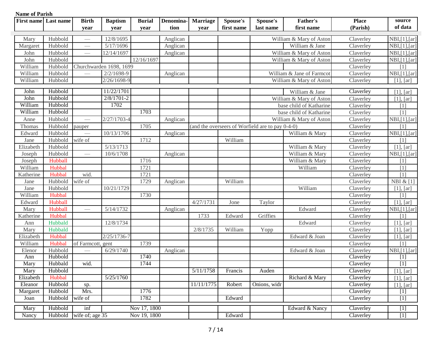| <b>First name</b> | Last name | <b>Birth</b>                    | <b>Baptism</b>          | <b>Burial</b> | Denomina- | <b>Marriage</b> | Spouse's   | Spouse's                                         | <b>Father's</b>           | <b>Place</b>                   | source         |
|-------------------|-----------|---------------------------------|-------------------------|---------------|-----------|-----------------|------------|--------------------------------------------------|---------------------------|--------------------------------|----------------|
|                   |           | year                            | year                    | year          | tion      | year            | first name | last name                                        | first name                | (Parish)                       | of data        |
| Mary              | Hubbold   |                                 | 12/8/1695               |               | Anglican  |                 |            |                                                  | William & Mary of Aston   | Claverley                      | NBI, [1], [ar] |
| Margaret          | Hubbold   |                                 | 5/17/1696               |               | Anglican  |                 |            |                                                  | William & Jane            | Claverley                      | NBI, [1], [ar] |
| John              | Hubbold   |                                 | 12/14/1697              |               | Anglican  |                 |            |                                                  | William & Mary of Aston   | Claverley                      | NBI,[1],[ar]   |
| John              | Hubbold   |                                 |                         | 12/16/1697    |           |                 |            |                                                  | William & Mary of Aston   | Claverley                      | NBI,[1],[ar]   |
| William           | Hubbold   |                                 | Churchwarden 1698, 1699 |               |           |                 |            |                                                  |                           | Claverley                      | [1]            |
| William           | Hubbold   |                                 | $2/2/1698-9$            |               | Anglican  |                 |            |                                                  | William & Jane of Farmcot | Claverley                      | NBI,[1],[ar]   |
| William           | Hubbold   |                                 | $2/26/1698-9$           |               |           |                 |            |                                                  | William & Mary of Aston   | Claverley                      | $[1]$ , $[ar]$ |
| John              | Hubbold   |                                 | 11/22/1701              |               |           |                 |            |                                                  | William & Jane            | Claverley                      | [1], [ar]      |
| John              | Hubbold   |                                 | $2/8/1701-2$            |               |           |                 |            |                                                  | William & Mary of Aston   | Claverley                      | [1], [ar]      |
| William           | Hubbold   |                                 | 1702                    |               |           |                 |            |                                                  | base child of Katharine   | Claverley                      | [1]            |
| William           | Hubbold   |                                 |                         | 1703          |           |                 |            |                                                  | base child of Katharine   | Claverley                      | [1]            |
| Anne              | Hubbold   |                                 | $2/27/1703 - 4$         |               | Anglican  |                 |            |                                                  | William & Mary of Aston   | Claverley                      | NBI,[1],[ar]   |
| Thomas            | Hubbold   | pauper                          |                         | 1705          |           |                 |            | (and the overseers of Worfield are to pay 0-4-0) |                           | Claverley                      | [1]            |
| Edward            | Hubbold   |                                 | 10/13/1706              |               | Anglican  |                 |            |                                                  | William & Mary            | Claverley                      | NBI, [1], [ar] |
| Jane              | Hubbold   | wife of                         |                         | 1712          |           |                 | William    |                                                  |                           | Claverley                      | [1]            |
| Elizabeth         | Hubbold   |                                 | 5/13/1713               |               |           |                 |            |                                                  | William & Mary            | Claverley                      | [1], [ar]      |
| Joseph            | Hubbold   |                                 | 10/6/1708               |               | Anglican  |                 |            |                                                  | William & Mary            | Claverley                      | NBI,[1],[ar]   |
| Joseph            | Hubball   |                                 |                         | 1716          |           |                 |            |                                                  | William & Mary            | Claverley                      | [1]            |
| William           | Hubbal    |                                 |                         | 1721          |           |                 |            |                                                  | William                   | Claverley                      | [1]            |
| Katherine         | Hubbal    | wid.                            |                         | 1721          |           |                 |            |                                                  |                           | Claverley                      | [1]            |
| Jane              | Hubbold   | wife of                         |                         | 1729          | Anglican  |                 | William    |                                                  |                           | Claverley                      | NBI & [1]      |
| Jane              | Hubbold   |                                 | 10/21/1729              |               |           |                 |            |                                                  | William                   | Claverley                      | [1], [ar]      |
| William           | Hubbal    |                                 |                         | 1730          |           |                 |            |                                                  |                           | Claverley                      | [1]            |
| Edward            | Hubball   |                                 |                         |               |           | 4/27/1731       | Jone       | Taylor                                           |                           | Claverley                      | $[1]$ , $[ar]$ |
| Mary              | Hubball   | $\hspace{0.1mm}-\hspace{0.1mm}$ | 5/14/1732               |               | Anglican  |                 |            |                                                  | Edward                    | Claverley                      | NBI, [1], [ar] |
| Katherine         | Hubbal    |                                 |                         |               |           | 1733            | Edward     | Griffies                                         |                           | Claverley                      | [1]            |
| Ann               | Hubbald   |                                 | 12/8/1734               |               |           |                 |            |                                                  | Edward                    | Claverley                      | $[1]$ , $[ar]$ |
| Mary              | Hubbald   |                                 |                         |               |           | 2/8/1735        | William    | Yopp                                             |                           | Claverley                      | [1], [ar]      |
| Elizabeth         | Hubbal    |                                 | $2/25/1736 - 7$         |               |           |                 |            |                                                  | Edward & Joan             | Claverley                      | [1], [ar]      |
| William           | Hubbal    | of Farmcott, gent               |                         | 1739          |           |                 |            |                                                  |                           | Claverley                      | [1]            |
| Elenor            | Hubbold   |                                 | 6/29/1740               |               | Anglican  |                 |            |                                                  | Edward & Joan             | Claverley                      | NBI,[1],[ar]   |
| Ann               | Hubbold   |                                 |                         | 1740          |           |                 |            |                                                  |                           | $\overline{\text{Cl}}$ averley | $[1]$          |
| Mary              | Hubbald   | wid.                            |                         | 1744          |           |                 |            |                                                  |                           | Claverley                      | $[1]$          |
| Mary              | Hubbold   |                                 |                         |               |           | 5/11/1758       | Francis    | Auden                                            |                           | Claverley                      | [1], [ar]      |
| Elizabeth         | Hubbal    |                                 | 5/25/1760               |               |           |                 |            |                                                  | Richard & Mary            | Claverley                      | [1], [ar]      |
| Eleanor           | Hubbold   | sp.                             |                         |               |           | 11/11/1775      | Robert     | Onions, widr                                     |                           | Claverley                      | [1], [ar]      |
| Margaret          | Hubbold   | Mrs.                            |                         | 1776          |           |                 |            |                                                  |                           | Claverley                      | $[1]$          |
| Joan              | Hubbold   | wife of                         |                         | 1782          |           |                 | Edward     |                                                  |                           | Claverley                      | $\boxed{1}$    |
| Mary              | Hubbold   | inf                             |                         | Nov 17, 1800  |           |                 |            |                                                  | Edward & Nancy            | Claverley                      | $[1]$          |
| Nancy             | Hubbold   | wife of; age 35                 |                         | Nov 19, 1800  |           |                 | Edward     |                                                  |                           | Claverley                      | $[1]$          |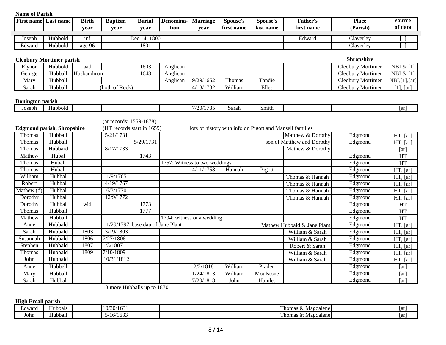| <b>Name of Parish</b> |                                   |              |                            |                        |           |                               |            |                                                          |                             |                   |                        |
|-----------------------|-----------------------------------|--------------|----------------------------|------------------------|-----------|-------------------------------|------------|----------------------------------------------------------|-----------------------------|-------------------|------------------------|
|                       | First name Last name              | <b>Birth</b> | <b>Baptism</b>             | <b>Burial</b>          | Denomina- | <b>Marriage</b>               | Spouse's   | Spouse's                                                 | <b>Father's</b>             | <b>Place</b>      | source                 |
|                       |                                   | vear         | vear                       | vear                   | tion      | vear                          | first name | last name                                                | first name                  | (Parish)          | of data                |
| Joseph                | Hubbold                           | inf          |                            | Dec 14, 1800           |           |                               |            |                                                          | Edward                      | Claverley         | $[1]$                  |
| Edward                | Hubbold                           | age 96       |                            | 1801                   |           |                               |            |                                                          |                             | Claverley         | $[1]$                  |
|                       |                                   |              |                            |                        |           |                               |            |                                                          |                             |                   |                        |
|                       | <b>Cleobury Mortimer parish</b>   |              |                            |                        |           |                               |            |                                                          |                             | <b>Shropshire</b> |                        |
| Elynor                | Hubbold                           | wid          |                            | 1603                   | Anglican  |                               |            |                                                          |                             | Cleobury Mortimer | NBI & [1]              |
| George                | Hubball                           | Husbandman   |                            | 1648                   | Anglican  |                               |            |                                                          |                             | Cleobury Mortimer | NBI & [1]              |
| Mary                  | Hubball                           |              |                            |                        | Anglican  | 9/29/1652                     | Thomas     | Tandie                                                   |                             | Cleobury Mortimer | NBI, [1], [ar]         |
| Sarah                 | Hubball                           |              | (both of Rock)             |                        |           | 4/18/1732                     | William    | Elles                                                    |                             | Cleobury Mortimer | [1], [ar]              |
|                       |                                   |              |                            |                        |           |                               |            |                                                          |                             |                   |                        |
| Donington parish      |                                   |              |                            |                        |           |                               |            |                                                          |                             |                   |                        |
| Joseph                | Hubbold                           |              |                            |                        |           | 7/20/1735                     | Sarah      | Smith                                                    |                             |                   | [ar]                   |
|                       |                                   |              |                            |                        |           |                               |            |                                                          |                             |                   |                        |
|                       |                                   |              | (ar records: 1559-1878)    |                        |           |                               |            |                                                          |                             |                   |                        |
|                       | <b>Edgmond parish, Shropshire</b> |              | (HT records start in 1659) |                        |           |                               |            | lots of history with info on Pigott and Mansell families |                             |                   |                        |
| Thomas                | Hubball                           |              | 5/21/1731                  |                        |           |                               |            |                                                          | Matthew & Dorothy           | Edgmond           | HT, [ar]               |
| Thomas                | Hubball                           |              |                            | 5/29/1731              |           |                               |            |                                                          | son of Matthew and Dorothy  | Edgmond           | HT, [ar]               |
| Thomas                | Hubbard                           |              | 8/17/1733                  |                        |           |                               |            |                                                          | Mathew & Dorothy            |                   | [ar]                   |
| Mathew                | Hubal                             |              |                            | 1743                   |           |                               |            |                                                          |                             | Edgmond           | HT                     |
| Thomas                | Huball                            |              |                            |                        |           | 1757: Witness to two weddings |            |                                                          |                             | Edgmond           | HT                     |
| Thomas                | Huball                            |              |                            |                        |           | 4/11/1758                     | Hannah     | Pigott                                                   |                             | Edgmond           | $\overline{HT}$ , [ar] |
| William               | Hubbal                            |              | 1/9/1765                   |                        |           |                               |            |                                                          | Thomas & Hannah             | Edgmond           | $\overline{HT}$ , [ar] |
| Robert                | Hubbal                            |              | 4/19/1767                  |                        |           |                               |            |                                                          | Thomas & Hannah             | Edgmond           | HT, [ar]               |
| Mathew $(d)$          | Hubbal                            |              | 6/3/1770                   |                        |           |                               |            |                                                          | Thomas & Hannah             | Edgmond           | $\overline{HT}$ , [ar] |
| Dorothy               | Hubbal                            |              | 12/9/1772                  |                        |           |                               |            |                                                          | Thomas & Hannah             | Edgmond           | HT, [ar]               |
| Dorothy               | Hubbal                            | wid          |                            | 1773                   |           |                               |            |                                                          |                             | Edgmond           | HT                     |
| <b>Thomas</b>         | Hubball                           |              |                            | 1777                   |           |                               |            |                                                          |                             | Edgmond           | HT                     |
| Mathew                | Hubball                           |              |                            |                        |           | 1794: witness ot a wedding    |            |                                                          |                             | Edgmond           | HT                     |
| Anne                  | Hubbald                           |              | 11/29/1797                 | base dau of Jane Plant |           |                               |            |                                                          | Mathew Hubbald & Jane Plant | Edgmond           | $\overline{HT}$ , [ar] |
| Sarah                 | Hubbald                           | 1803         | 3/19/1803                  |                        |           |                               |            |                                                          | William & Sarah             | Edgmond           | HT, [ar]               |
| Susannah              | Hubbald                           | 1806         | 7/27/1806                  |                        |           |                               |            |                                                          | William & Sarah             | Edgmond           | $\overline{HT}$ , [ar] |
| Stephen               | Hubbald                           | 1807         | 1/3/1807                   |                        |           |                               |            |                                                          | Robert & Sarah              | Edgmond           | $\overline{HT}$ , [ar] |
| Thomas                | Hubbald                           | 1809         | 7/10/1809                  |                        |           |                               |            |                                                          | William & Sarah             | Edgmond           | $\overline{HT}$ , [ar] |
| John                  | Hubbald                           |              | 10/31/1812                 |                        |           |                               |            |                                                          | William & Sarah             | Edgmond           | HT, [ar]               |
| Anne                  | Hubbell                           |              |                            |                        |           | 2/2/1818                      | William    | Praden                                                   |                             | Edgmond           | [ar]                   |
| Mary                  | Hubball                           |              |                            |                        |           | 1/24/1813                     | William    | Moulstone                                                |                             | Edgmond           | [ar]                   |
| Sarah                 | Hubbal                            |              |                            |                        |           | 7/20/1818                     | John       | Hamlet                                                   |                             | Edgmond           | [ar]                   |

13 more Hubballs up to 1870

**High Ercall parish**

| cdward | Hubbals                         | 10/30/1<br>$\sim$<br>15.1<br>10J                 |  |  | Magdalene »<br>l homas<br>ື                    | 1 ar |
|--------|---------------------------------|--------------------------------------------------|--|--|------------------------------------------------|------|
| John   | $\rightarrow$<br>r v<br>Hubball | $\sim$ $\sim$<br>.<br>$\sim$ 14<br>3/16/<br>1033 |  |  | . homas<br>---<br>. .<br>. Magdalene<br>$\sim$ | 1ar  |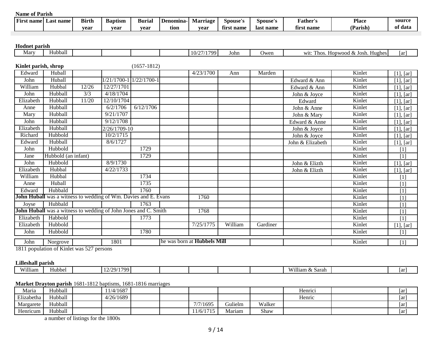| .<br>First name<br>name<br>$\pm 3S^{\dagger}$ | <b>Birth</b> | <b>Baptism</b> | <b>Burial</b> | Denomina- | Marriage | Spouse's     | Spouse's       | 'ather's      | <b>Place</b> | sourc   |
|-----------------------------------------------|--------------|----------------|---------------|-----------|----------|--------------|----------------|---------------|--------------|---------|
|                                               | vear         | vear           | vear          | tıon      | vear     | nam<br>tırs. | t name<br>last | * name<br>tır | Parish,      | of dat. |

#### **Hodnet parish**

| AAOWALUU PWA ASAA    |                                                                 |       |              |                         |                             |         |          |                  |                                   |                   |
|----------------------|-----------------------------------------------------------------|-------|--------------|-------------------------|-----------------------------|---------|----------|------------------|-----------------------------------|-------------------|
| Mary                 | Hubball                                                         |       |              |                         | 10/27/1799                  | John    | Owen     |                  | wit: Thos. Hopwood & Josh. Hughes | [ar]              |
|                      |                                                                 |       |              |                         |                             |         |          |                  |                                   |                   |
| Kinlet parish, shrop |                                                                 |       |              | $(1657-1812)$           |                             |         |          |                  |                                   |                   |
| Edward               | Huball                                                          |       |              |                         | 4/23/1700                   | Ann     | Marden   |                  | Kinlet                            | $[1]$ , $[ar]$    |
| John                 | Huball                                                          |       |              | 1/21/1700-1 1/22/1700-1 |                             |         |          | Edward & Ann     | Kinlet                            | [1], [ar]         |
| William              | Hubbal                                                          | 12/26 | 12/27/1701   |                         |                             |         |          | Edward & Ann     | Kinlet                            | [1], [ar]         |
| John                 | Hubball                                                         | 3/3   | 4/18/1704    |                         |                             |         |          | John & Joyce     | Kinlet                            | [1], [ar]         |
| Elizabeth            | Hubball                                                         | 11/20 | 12/10/1704   |                         |                             |         |          | Edward           | Kinlet                            | [1], [ar]         |
| Anne                 | Hubball                                                         |       | 6/2/1706     | 6/12/1706               |                             |         |          | John & Anne      | Kinlet                            | [1], [ar]         |
| Mary                 | Hubball                                                         |       | 9/21/1707    |                         |                             |         |          | John & Mary      | Kinlet                            | [1], [ar]         |
| John                 | Hubball                                                         |       | 9/12/1708    |                         |                             |         |          | Edward & Anne    | Kinlet                            | $[1]$ , $[ar]$    |
| Elizabeth            | Hubball                                                         |       | 2/26/1709-10 |                         |                             |         |          | John & Joyce     | Kinlet                            | [1], [ar]         |
| Richard              | Hubbold                                                         |       | 10/2/1715    |                         |                             |         |          | John & Joyce     | Kinlet                            | [1], [ar]         |
| Edward               | Hubball                                                         |       | 8/6/1727     |                         |                             |         |          | John & Elizabeth | Kinlet                            | [1], [ar]         |
| John                 | Hubbold                                                         |       |              | 1729                    |                             |         |          |                  | Kinlet                            | [1]               |
| Jane                 | Hubbold (an infant)                                             |       |              | 1729                    |                             |         |          |                  | Kinlet                            | $[1]$             |
| John                 | Hubbold                                                         |       | 8/9/1730     |                         |                             |         |          | John & Elizth    | Kinlet                            | [1], [ar]         |
| Elizabeth            | Hubbal                                                          |       | 4/22/1733    |                         |                             |         |          | John & Elizth    | Kinlet                            | $[1]$ , $[ar]$    |
| William              | Hubbal                                                          |       |              | 1734                    |                             |         |          |                  | Kinlet                            | [1]               |
| Anne                 | Huball                                                          |       |              | 1735                    |                             |         |          |                  | Kinlet                            | [1]               |
| Edward               | Hubbald                                                         |       |              | 1760                    |                             |         |          |                  | Kinlet                            | $[1]$             |
|                      | John Huball was a witness to wedding of Wm. Davies and E. Evans |       |              |                         | 1760                        |         |          |                  | Kinlet                            | [1]               |
| Joyse                | Hubbald                                                         |       |              | 1763                    |                             |         |          |                  | Kinlet                            | $[1]$             |
|                      | John Huball was a witness to wedding of John Jones and C. Smith |       |              |                         | 1768                        |         |          |                  | Kinlet                            | [1]               |
| Elizabeth            | Habbold                                                         |       |              | 1773                    |                             |         |          |                  | Kinlet                            | [1]               |
| Elizabeth            | Hubbold                                                         |       |              |                         | 7/25/1775                   | William | Gardiner |                  | Kinlet                            | [1], [ar]         |
| John                 | Hubbold                                                         |       |              | 1780                    |                             |         |          |                  | Kinlet                            | $\lceil 1 \rceil$ |
| John                 | Norgrove                                                        |       | 1801         |                         | he was born at Hubbels Mill |         |          |                  | Kinlet                            | $[1]$             |

1811 population of Kinlet was 527 persons

#### **Lilleshall parish**

| <b>XX72112</b><br>1ll1am | Hubbel | 7001<br>∍ים<br>. . |  |  | Will<br><b>Sara</b><br>1am ð<br>$\lambda$<br>- Sala | $\overline{\mathbf{u}}$ |
|--------------------------|--------|--------------------|--|--|-----------------------------------------------------|-------------------------|
|                          |        |                    |  |  |                                                     |                         |

#### **Market Drayton parish** 1681-1812 baptisms, 1681-1816 marriages

| Maria               | Hubball | 11/4/1687 |  |           |                          |        | Henrici<br>$\sim$ $\sim$ $\sim$ | ar |
|---------------------|---------|-----------|--|-----------|--------------------------|--------|---------------------------------|----|
| $T^*$<br>Elizabetha | Hubball | 4/26/1689 |  |           |                          |        | Henric                          | ar |
| Margarete           | Hubball |           |  | 7/7/1695  | <b>Gulielm</b><br>$\sim$ | Walker |                                 | ar |
| Henricum            | Hubball |           |  | 11/6/1715 | Mariam                   | Shaw   |                                 | ar |

a number of listings for the 1800s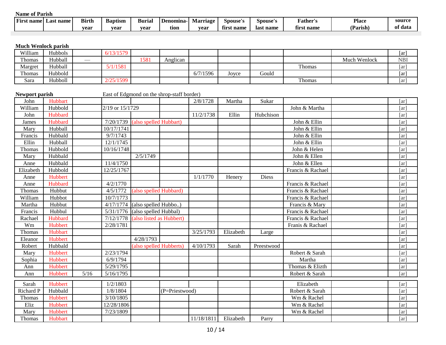| $\sim$ |         | <b>Place</b> | F <b>ather's</b> | Spouse's  | Spouse's        | Marriage | I Denomina | Burial | <b>Baptism</b> | <b>Birth</b> | Last name | --<br>st name <br><b>Firs.</b> |
|--------|---------|--------------|------------------|-----------|-----------------|----------|------------|--------|----------------|--------------|-----------|--------------------------------|
|        | of data | Parish,      | first name       | last name | . name<br>tırsı | vear     | tion       | vear   | vear           | vear         |           |                                |

#### **Much Wenlock parish**

| William       | Hubbols | 6/13/1579 |      |          |          |       |       |        |              | ar         |
|---------------|---------|-----------|------|----------|----------|-------|-------|--------|--------------|------------|
| Thomas        | Hubball |           | 1581 | Anglican |          |       |       |        | Much Wenlock | <b>NBI</b> |
| Margret       | Hubball | 5/1/1581  |      |          |          |       |       | Thomas |              | ar         |
| <b>Thomas</b> | Hubbold |           |      |          | 6/7/1596 | Jovce | Gould |        |              | ar         |
| Sara          | Hubboll | 2/25/1599 |      |          |          |       |       | Thomas |              | ar         |

#### Newport parish East of Edgmond on the shrop-staff border)

| John      | Hubbart |        |                 |                          |                | 2/8/1728   | Martha    | Sukar        |                   | $\lceil ar \rceil$ |
|-----------|---------|--------|-----------------|--------------------------|----------------|------------|-----------|--------------|-------------------|--------------------|
| William   | Hubbold |        | 2/19 or 15/1729 |                          |                |            |           |              | John & Martha     | [ar]               |
| John      | Hubbard |        |                 |                          |                | 11/2/1738  | Ellin     | Hubchison    |                   | $\lceil ar \rceil$ |
| James     | Hubbard |        | 7/20/1739       | (also spelled Hubbart)   |                |            |           |              | John & Ellin      | [ar]               |
| Mary      | Hubball |        | 10/17/1741      |                          |                |            |           |              | John & Ellin      | $\lceil ar \rceil$ |
| Francis   | Hubbald |        | 9/7/1743        |                          |                |            |           |              | John & Ellin      | $\lceil ar \rceil$ |
| Ellin     | Hubball |        | 12/1/1745       |                          |                |            |           |              | John & Ellin      | [ar]               |
| Thomas    | Hubbold |        | 10/16/1748      |                          |                |            |           |              | John & Helen      | $\lceil ar \rceil$ |
| Mary      | Hubbald |        |                 | 2/5/1749                 |                |            |           |              | John & Ellen      | [ar]               |
| Anne      | Hubbald |        | 11/4/1750       |                          |                |            |           |              | John & Ellen      | $\lceil ar \rceil$ |
| Elizabeth | Hubbold |        | 12/25/1767      |                          |                |            |           |              | Francis & Rachael | [ar]               |
| Anne      | Hubbert |        |                 |                          |                | 1/1/1770   | Henery    | <b>Diess</b> |                   | [ar]               |
| Anne      | Hubbard |        | 4/2/1770        |                          |                |            |           |              | Francis & Rachael | [ar]               |
| Thomas    | Hubbut  |        | 4/5/1772        | (also spelled Hubbard)   |                |            |           |              | Francis & Rachael | [ar]               |
| William   | Hubbot  |        | 10/7/1773       |                          |                |            |           |              | Francis & Rachael | [ar]               |
| Martha    | Hubbut  |        | 4/17/1774       | (also spelled Hubbo)     |                |            |           |              | Francis & Mary    | [ar]               |
| Francis   | Hubbul  |        | 5/31/1776       | (also spelled Hubbal)    |                |            |           |              | Francis & Rachael | [ar]               |
| Rachael   | Hubbard |        | 7/12/1778       | (also listed as Hubbert) |                |            |           |              | Francis & Rachael | $\lceil ar \rceil$ |
| Wm        | Hubbert |        | 2/28/1781       |                          |                |            |           |              | Franis & Rachael  | [ar]               |
| Thomas    | Hubbart |        |                 |                          |                | 3/25/1793  | Elizabeth | Large        |                   | [ar]               |
| Eleanor   | Hubbert |        |                 | 4/28/1793                |                |            |           |              |                   | $\lceil ar \rceil$ |
| Robert    | Hubbald |        |                 | (also spelled Hubberts)  |                | 4/10/1793  | Sarah     | Preestwood   |                   | $\lceil ar \rceil$ |
| Mary      | Hubbert |        | 2/23/1794       |                          |                |            |           |              | Robert & Sarah    | [ar]               |
| Sophia    | Hubbert |        | 6/9/1794        |                          |                |            |           |              | Martha            | $\lceil ar \rceil$ |
| Ann       | Hubbert |        | 5/29/1795       |                          |                |            |           |              | Thomas & Elizth   | $\lceil ar \rceil$ |
| Ann       | Hubbert | $5/16$ | 5/16/1795       |                          |                |            |           |              | Robert & Sarah    | $\lceil ar \rceil$ |
| Sarah     | Hubbert |        | 1/2/1803        |                          |                |            |           |              | Elizabeth         | [ar]               |
| Richard P | Hubbald |        | 1/8/1804        |                          | (P=Priestwood) |            |           |              | Robert & Sarah    | [ar]               |
| Thomas    | Hubbert |        | 3/10/1805       |                          |                |            |           |              | Wm & Rachel       | [ar]               |
| Eliz      | Hubbert |        | 12/28/1806      |                          |                |            |           |              | Wm & Rachel       | [ar]               |
| Mary      | Hubbert |        | 7/23/1809       |                          |                |            |           |              | Wm & Rachel       | [ar]               |
| Thomas    | Hubbart |        |                 |                          |                | 11/18/1811 | Elizabeth | Parry        |                   | [ar]               |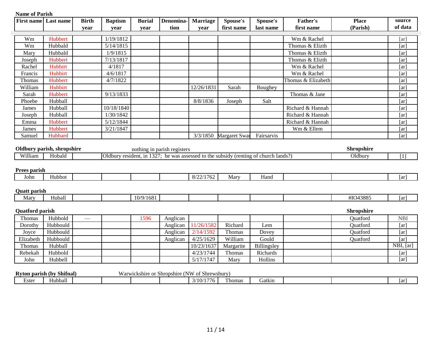|                        | <b>First name</b> Last name          | <b>Birth</b> | <b>Baptism</b> | <b>Burial</b> | Denomina-                   | <b>Marriage</b>                               | Spouse's      | Spouse's                                                                             | <b>Father's</b>    | <b>Place</b>                 | source             |
|------------------------|--------------------------------------|--------------|----------------|---------------|-----------------------------|-----------------------------------------------|---------------|--------------------------------------------------------------------------------------|--------------------|------------------------------|--------------------|
|                        |                                      | vear         | year           | vear          | tion                        | vear                                          | first name    | last name                                                                            | first name         | (Parish)                     | of data            |
| Wm                     | Hubbert                              |              | 1/19/1812      |               |                             |                                               |               |                                                                                      | Wm & Rachel        |                              | [ar]               |
| Wm                     | Hubbald                              |              | 5/14/1815      |               |                             |                                               |               |                                                                                      | Thomas & Elizth    |                              | [ar]               |
| Mary                   | Hubbald                              |              | 1/9/1815       |               |                             |                                               |               |                                                                                      | Thomas & Elizth    |                              | [ar]               |
| Joseph                 | Hubbert                              |              | 7/13/1817      |               |                             |                                               |               |                                                                                      | Thomas & Elizth    |                              | [ar]               |
| Rachel                 | Hubbirt                              |              | 4/1817         |               |                             |                                               |               |                                                                                      | Wm & Rachel        |                              | [ar]               |
| Francis                | Hubbirt                              |              | 4/6/1817       |               |                             |                                               |               |                                                                                      | Wm & Rachel        |                              | $\lceil ar \rceil$ |
| Thomas                 | Hubbert                              |              | 4/7/1822       |               |                             |                                               |               |                                                                                      | Thomas & Elizabeth |                              | [ar]               |
| William                | Hubbirt                              |              |                |               |                             | 12/26/1831                                    | Sarah         | Boughey                                                                              |                    |                              | [ar]               |
| Sarah                  | Hubbert                              |              | 9/13/1833      |               |                             |                                               |               |                                                                                      | Thomas & Jane      |                              | [ar]               |
| Phoebe                 | Hubball                              |              |                |               |                             | 8/8/1836                                      | Joseph        | Salt                                                                                 |                    |                              | [ar]               |
| James                  | Hubball                              |              | 10/18/1840     |               |                             |                                               |               |                                                                                      | Richard & Hannah   |                              | [ar]               |
| Joseph                 | Hubball                              |              | 1/30/1842      |               |                             |                                               |               |                                                                                      | Richard & Hannah   |                              | [ar]               |
| Emma                   | Hubbert                              |              | 5/12/1844      |               |                             |                                               |               |                                                                                      | Richard & Hannah   |                              | [ar]               |
| James                  | Hubbert                              |              | 3/21/1847      |               |                             |                                               |               |                                                                                      | Wm & Ellem         |                              | [ar]               |
| Samuel                 | Hubbard                              |              |                |               |                             | 3/3/1850                                      | Margaret Swar | Fairsarvis                                                                           |                    |                              | [ar]               |
| William                | Oldbury parish, shropshire<br>Hobald |              |                |               | nothing in parish registers |                                               |               | Oldbury resident, in 1327; he was assessed to the subsidy (renting of church lands?) |                    | <b>Shropshire</b><br>Oldbury | [1]                |
|                        |                                      |              |                |               |                             |                                               |               |                                                                                      |                    |                              |                    |
| Prees parish<br>John   | Hubbot                               |              |                |               |                             | 8/22/1762                                     | Mary          | Hand                                                                                 |                    |                              | [ar]               |
|                        |                                      |              |                |               |                             |                                               |               |                                                                                      |                    |                              |                    |
| <b>Quatt</b> parish    |                                      |              |                |               |                             |                                               |               |                                                                                      |                    |                              |                    |
| Mary                   | Huball                               |              |                | 10/9/1681     |                             |                                               |               |                                                                                      |                    | #IO43885                     | [ar]               |
| <b>Quatford parish</b> |                                      |              |                |               |                             |                                               |               |                                                                                      |                    | Shropshire                   |                    |
| Thomas                 | Hubbold                              |              |                | 1596          | Anglican                    |                                               |               |                                                                                      |                    | Quatford                     | <b>NBI</b>         |
| Dorothy                | Hubbould                             |              |                |               | Anglican                    | 11/26/1582                                    | Richard       | Lem                                                                                  |                    | Quatford                     | $\lceil ar \rceil$ |
| Joyce                  | Hubbould                             |              |                |               | Anglican                    | 2/14/1592                                     | Thomas        | Dovey                                                                                |                    | Quatford                     | [ar]               |
| Elizabeth              | Hubbould                             |              |                |               | Anglican                    | 4/25/1629                                     | William       | Gould                                                                                |                    | Quatford                     | $\lceil ar \rceil$ |
| Thomas                 | Hubball                              |              |                |               |                             | 10/23/1637                                    | Margarite     | Billingsley                                                                          |                    |                              | NBI, [ar]          |
| Rebekah                | Hubbold                              |              |                |               |                             | $\frac{4}{23}/1744$                           | Thomas        | Richards                                                                             |                    |                              | [ar]               |
| John                   | Hubbell                              |              |                |               |                             | 5/17/1747                                     | Mary          | Hollins                                                                              |                    |                              | [ar]               |
|                        |                                      |              |                |               |                             |                                               |               |                                                                                      |                    |                              |                    |
|                        | Ryton parish (by Shifnal)            |              |                |               |                             | Warwickshire or Shropshire (NW of Shrewsbury) |               |                                                                                      |                    |                              |                    |
| Ester                  | Hubball                              |              |                |               |                             | 3/10/1776                                     | Thomas        | Gatkin                                                                               |                    |                              | [ar]               |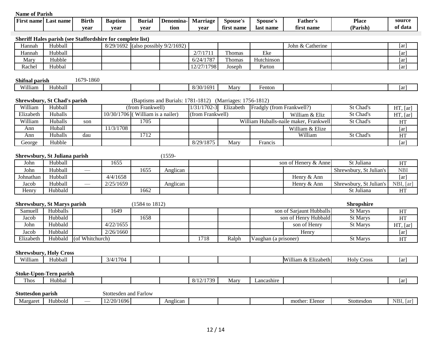| name<br>. name<br>Last<br>FIF: | <b>Birth</b> | <b>Baptism</b> | Buria | Denomına- | Marriage | Spouse's        | Spouse's     | 'ather's                     | Place    | source  |
|--------------------------------|--------------|----------------|-------|-----------|----------|-----------------|--------------|------------------------------|----------|---------|
|                                | vear         | vear           | vear  | tion      | vear     | . name<br>first | name<br>last | £.<br><b>st name</b><br>11r: | (Parish) | of data |

#### **Sheriff Hales parish (see Staffordshire for complete list)**

| Iannah | Hubball | 8/29/1692 | $\frac{1}{2}$ (also possibly 9/2/1692) |                |        |            | John $& \mathsf{C}$<br>Catherine | [ar] |
|--------|---------|-----------|----------------------------------------|----------------|--------|------------|----------------------------------|------|
| Hannah | Hubball |           |                                        | 2/7/1711       | Thomas | Eke        |                                  | [ar] |
| Mary   | Hubble  |           |                                        | 6/24/1787      | Thomas | Hutchinson |                                  | [ar] |
| Rachel | Hubbal  |           |                                        | /1798<br>12/27 | Joseph | Parton     |                                  | [ar] |

| Shifnal parish |               | 670<br>1860<br>n, |  |                                           |      |        |  |     |
|----------------|---------------|-------------------|--|-------------------------------------------|------|--------|--|-----|
| William        | 11<br>Hubball |                   |  | $8/30$ / <sup>1</sup><br>169 <sup>1</sup> | Mary | ⊦enton |  | 1ar |

|           | <b>Shrewsbury, St Chad's parish</b> |     |           |                                    | (Baptisms and Burials: 1781-1812) (Marriages: 1756-1812) |           |                           |                                        |                  |          |
|-----------|-------------------------------------|-----|-----------|------------------------------------|----------------------------------------------------------|-----------|---------------------------|----------------------------------------|------------------|----------|
| William   | Hubball                             |     |           | (from Frankwell)                   | $1/31/1702-3$                                            | Elizabeth | Fradgly (from Frankwell?) |                                        | St Chad's        | HT, [ar] |
| Elizabeth | Huballs                             |     |           | $10/30/1706$ (William is a nailer) | (from Frankwell)                                         |           |                           | William & Eliz                         | St Chad's        | HT, [ar] |
| William   | Huballs                             | son |           | 1705                               |                                                          |           |                           | William Huballs-naile maker. Frankwell | St Chad's        | HT       |
| Ann       | Huball                              |     | 11/3/1708 |                                    |                                                          |           |                           | William & Elize                        |                  | ar       |
| Ann       | Huballs                             | dau |           | 1712                               |                                                          |           |                           | William                                | <b>St Chad's</b> | HT       |
| George    | Hubble                              |     |           |                                    | 8/29/1875                                                | Marv      | Francis                   |                                        |                  | ar       |

**Shrewsbury, St Juliana parish** (1559-

| John      | Hubball |     | 1655      |     |          |  | son of Henery & Annel | St Juliana              | HT         |
|-----------|---------|-----|-----------|-----|----------|--|-----------------------|-------------------------|------------|
| John      | Hubball | $-$ |           | 655 | Anglican |  |                       | Shrewsbury, St Julian's | <b>NBI</b> |
| Johnathan | Hubball |     | 4/4/1658  |     |          |  | Henry & Ann           |                         | [ar]       |
| Jacob     | Hubball |     | 2/25/1659 |     | Anglican |  | Henry & Ann           | Shrewsbury, St Julian's | NBI, [ar]  |
| Henry     | Hubbald |     |           | 662 |          |  |                       | St Juliana              | HT         |

| <b>Shrewsbury, St Marys parish</b> |          |                         |           | $(1584 \text{ to } 1812)$ |      |       |                      |                          | <b>Shropshire</b> |           |
|------------------------------------|----------|-------------------------|-----------|---------------------------|------|-------|----------------------|--------------------------|-------------------|-----------|
| Samuell                            | Hubballs |                         | 1649      |                           |      |       |                      | son of Sariaunt Hubballs | <b>St Marys</b>   | HT        |
| Jacob                              | Hubbald  |                         |           | 1658                      |      |       |                      | son of Henry Hubbald     | <b>St Marys</b>   | HT        |
| John                               | Hubbald  |                         | 4/22/1655 |                           |      |       |                      | son of Henry             | <b>St Marys</b>   | HT, [ar]  |
| Jacob                              | Hubbald  |                         | 2/26/1660 |                           |      |       |                      | Henry                    |                   | [ar]      |
| Elizabeth                          |          | Hubbald (of Whitchurch) |           |                           | 1718 | Ralph | Vaughan (a prisoner) |                          | <b>St Marys</b>   | <b>HT</b> |

#### **Shrewsbury, Holy Cross** William Hubball 3/4/1704 3/4/1704 William & Elizabeth Holy Cross and Tarl

#### **Stoke-Upon-Tern parish**

| Thos | Hubbai |  |  | $\mathbf{A}$<br>.<br>ຼ<br>.<br>. . | Mary | ∟ancashıre |  | ar |
|------|--------|--|--|------------------------------------|------|------------|--|----|
|      |        |  |  |                                    |      |            |  |    |

| Stottesdon parish |                |     | Stottesden     | Farlow<br>∟and l |          |  |                  |            |     |
|-------------------|----------------|-----|----------------|------------------|----------|--|------------------|------------|-----|
| Margaret          | <b>Hubbolg</b> | ___ | 10/20<br>/1696 |                  | Anglican |  | Elenor<br>mother | Stottesdon | NBI |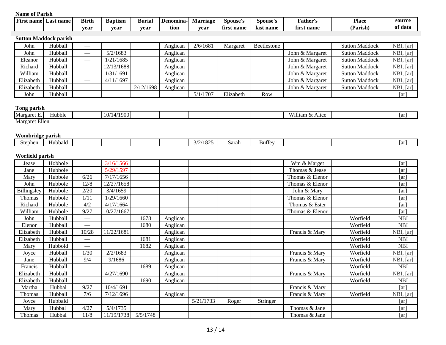| $\sim$ | source  | <b>Place</b><br>. | Father's   | Spouse's  | Spouse's        | rıage<br>Mar | enomına<br>De | Burial | <b>Baptism</b> | <b>Birth</b> | Last name | t name<br><b>Wirst</b> |
|--------|---------|-------------------|------------|-----------|-----------------|--------------|---------------|--------|----------------|--------------|-----------|------------------------|
|        | of data | (Parish)          | first name | last name | t name<br>tırst | vear         | tion          | vear   | vear           | vear         |           |                        |

# **Sutton Maddock parish**

| John      | Hubball | __  |            |           | Anglican | 2/6/1681 | Margaret  | Beetlestone |                 | <b>Sutton Maddock</b> | NBI, [ar] |
|-----------|---------|-----|------------|-----------|----------|----------|-----------|-------------|-----------------|-----------------------|-----------|
| John      | Hubball |     | 5/2/1683   |           | Anglican |          |           |             | John & Margaret | <b>Sutton Maddock</b> | NBI, [ar] |
| Eleanor   | Hubball | --- | 1/21/1685  |           | Anglican |          |           |             | John & Margaret | <b>Sutton Maddock</b> | NBI, [ar] |
| Richard   | Hubball | $-$ | 12/13/1688 |           | Anglican |          |           |             | John & Margaret | <b>Sutton Maddock</b> | NBI, [ar] |
| William   | Hubball | __  | 1/31/1691  |           | Anglican |          |           |             | John & Margaret | <b>Sutton Maddock</b> | NBI, [ar] |
| Elizabeth | Hubball | --- | 4/11/1697  |           | Anglican |          |           |             | John & Margaret | <b>Sutton Maddock</b> | NBI, [ar] |
| Elizabeth | Hubball | --- |            | 2/12/1698 | Anglican |          |           |             | John & Margaret | <b>Sutton Maddock</b> | NBI, [ar] |
| John      | Hubball |     |            |           |          | 5/1/1707 | Elizabeth | Row         |                 |                       | [ar]      |

# **Tong parish**

| __<br>Margaret E.         | . .<br>Hubble | $\prime$<br>. . |  |  | . .<br><b>XX7211</b><br>Alice<br>$\alpha$ r<br>шап | 1ar |
|---------------------------|---------------|-----------------|--|--|----------------------------------------------------|-----|
| 7.11<br>Margaret<br>Ellen |               |                 |  |  |                                                    |     |

#### **Wombridge parish**

| . .            |         |  |  |                    |       |        |  |              |
|----------------|---------|--|--|--------------------|-------|--------|--|--------------|
| . .<br>Stephen | Hubbald |  |  | ^<br>uz.<br>$\sim$ | Sarah | Buttey |  | l ov<br>тат. |
|                |         |  |  |                    |       |        |  |              |

# **Worfield parish**

| Jease       | Hobbole |                                   | 3/16/1566  |          |          |           |       |          | Wm & Marget     |          | [ar]               |
|-------------|---------|-----------------------------------|------------|----------|----------|-----------|-------|----------|-----------------|----------|--------------------|
| Jane        | Hubbole |                                   | 5/29/1597  |          |          |           |       |          | Thomas & Jease  |          | [ar]               |
| Mary        | Hubbole | 6/26                              | 7/17/1656  |          |          |           |       |          | Thomas & Elenor |          | [ar]               |
| John        | Hubbole | 12/8                              | 12/27/1658 |          |          |           |       |          | Thomas & Elenor |          | [ar]               |
| Billingsley | Hubbole | 2/20                              | 3/4/1659   |          |          |           |       |          | John & Mary     |          | [ar]               |
| Thomas      | Hubbole | 1/11                              | 1/29/1660  |          |          |           |       |          | Thomas & Elenor |          | [ar]               |
| Richard     | Hubbole | 4/2                               | 4/17/1664  |          |          |           |       |          | Thomas & Ester  |          | [ar]               |
| William     | Hubbole | 9/27                              | 10/27/1667 |          |          |           |       |          | Thomas & Elenor |          | [ar]               |
| John        | Hubball | $\overbrace{\phantom{aaaaa}}$     |            | 1678     | Anglican |           |       |          |                 | Worfield | <b>NBI</b>         |
| Elenor      | Hubball |                                   |            | 1680     | Anglican |           |       |          |                 | Worfield | <b>NBI</b>         |
| Elizabeth   | Hubball | 10/28                             | 11/22/1681 |          | Anglican |           |       |          | Francis & Mary  | Worfield | NBI, [ar]          |
| Elizabeth   | Hubball |                                   |            | 1681     | Anglican |           |       |          |                 | Worfield | <b>NBI</b>         |
| Mary        | Hubbold | $\hspace{0.05cm}$                 |            | 1682     | Anglican |           |       |          |                 | Worfield | <b>NBI</b>         |
| Joyce       | Hubball | 1/30                              | 2/2/1683   |          | Anglican |           |       |          | Francis & Mary  | Worfield | NBI, [ar]          |
| Jane        | Hubball | 9/4                               | 9/1686     |          | Anglican |           |       |          | Francis & Mary  | Worfield | NBI, [ar]          |
| Francis     | Hubball |                                   |            | 1689     | Anglican |           |       |          |                 | Worfield | <b>NBI</b>         |
| Elizabeth   | Hubball | $\hspace{0.05cm}$                 | 4/27/1690  |          | Anglican |           |       |          | Francis & Mary  | Worfield | NBI, [ar]          |
| Elizabeth   | Hubball | $\overbrace{\phantom{aaaaa}}^{x}$ |            | 1690     | Anglican |           |       |          |                 | Worfield | <b>NBI</b>         |
| Martha      | Hubbal  | 9/27                              | 10/4/1691  |          |          |           |       |          | Francis & Mary  |          | $\lceil ar \rceil$ |
| Thomas      | Hubball | 7/6                               | 7/12/1696  |          | Anglican |           |       |          | Francis & Mary  | Worfield | NBI, [ar]          |
| Joyce       | Hubbald |                                   |            |          |          | 5/21/1733 | Roger | Stringer |                 |          | $\lceil ar \rceil$ |
| Mary        | Hubbal  | 4/27                              | 5/4/1735   |          |          |           |       |          | Thomas & Jane   |          | [ar]               |
| Thomas      | Hubbal  | 11/8                              | 11/19/1738 | 5/5/1748 |          |           |       |          | Thomas & Jane   |          | [ar]               |